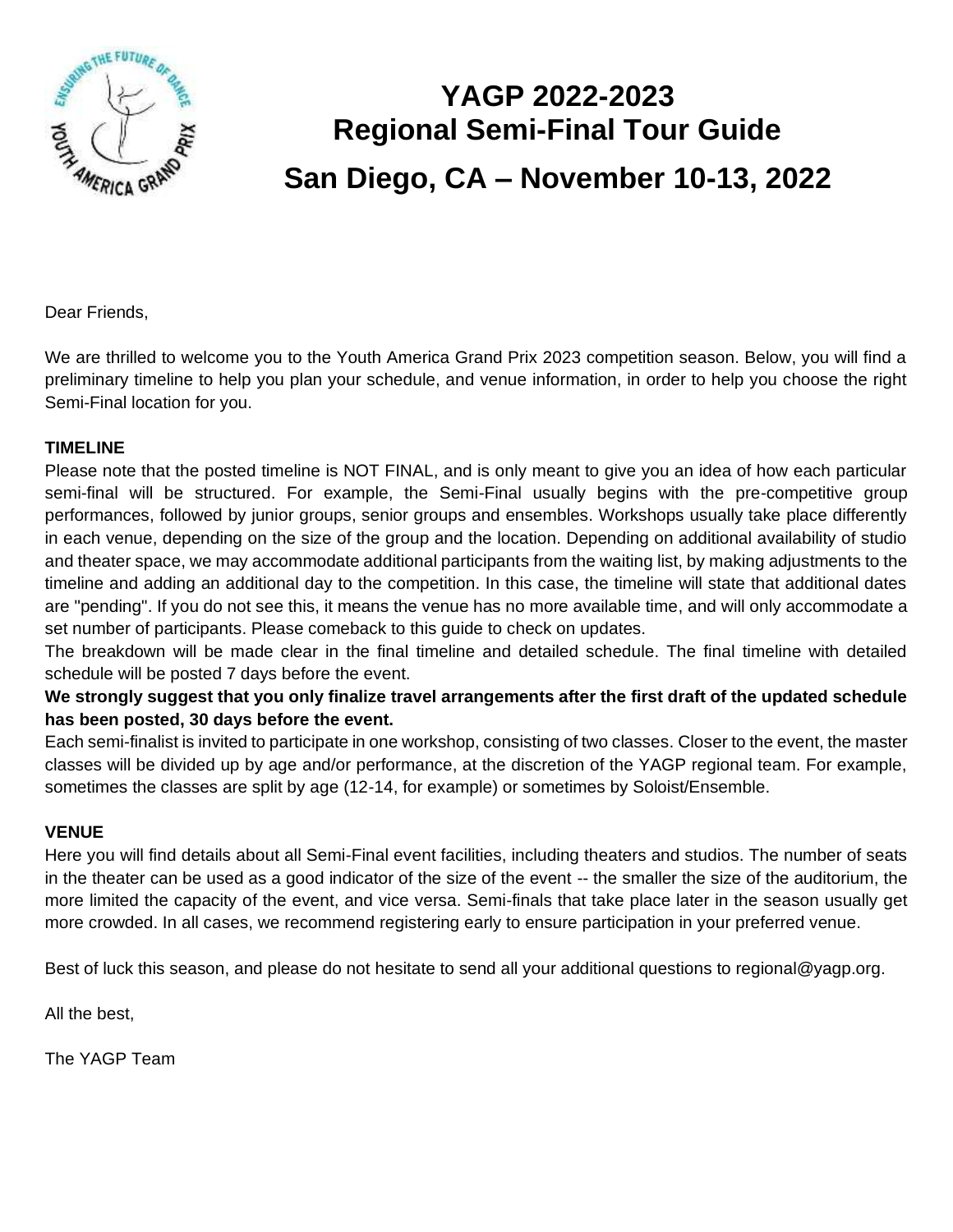

# **YAGP 2022-2023 Regional Semi-Final Tour Guide San Diego, CA – November 10-13, 2022**

Dear Friends,

We are thrilled to welcome you to the Youth America Grand Prix 2023 competition season. Below, you will find a preliminary timeline to help you plan your schedule, and venue information, in order to help you choose the right Semi-Final location for you.

#### **TIMELINE**

Please note that the posted timeline is NOT FINAL, and is only meant to give you an idea of how each particular semi-final will be structured. For example, the Semi-Final usually begins with the pre-competitive group performances, followed by junior groups, senior groups and ensembles. Workshops usually take place differently in each venue, depending on the size of the group and the location. Depending on additional availability of studio and theater space, we may accommodate additional participants from the waiting list, by making adjustments to the timeline and adding an additional day to the competition. In this case, the timeline will state that additional dates are "pending". If you do not see this, it means the venue has no more available time, and will only accommodate a set number of participants. Please comeback to this guide to check on updates.

The breakdown will be made clear in the final timeline and detailed schedule. The final timeline with detailed schedule will be posted 7 days before the event.

#### **We strongly suggest that you only finalize travel arrangements after the first draft of the updated schedule has been posted, 30 days before the event.**

Each semi-finalist is invited to participate in one workshop, consisting of two classes. Closer to the event, the master classes will be divided up by age and/or performance, at the discretion of the YAGP regional team. For example, sometimes the classes are split by age (12-14, for example) or sometimes by Soloist/Ensemble.

#### **VENUE**

Here you will find details about all Semi-Final event facilities, including theaters and studios. The number of seats in the theater can be used as a good indicator of the size of the event -- the smaller the size of the auditorium, the more limited the capacity of the event, and vice versa. Semi-finals that take place later in the season usually get more crowded. In all cases, we recommend registering early to ensure participation in your preferred venue.

Best of luck this season, and please do not hesitate to send all your additional questions to regional@yagp.org.

All the best,

The YAGP Team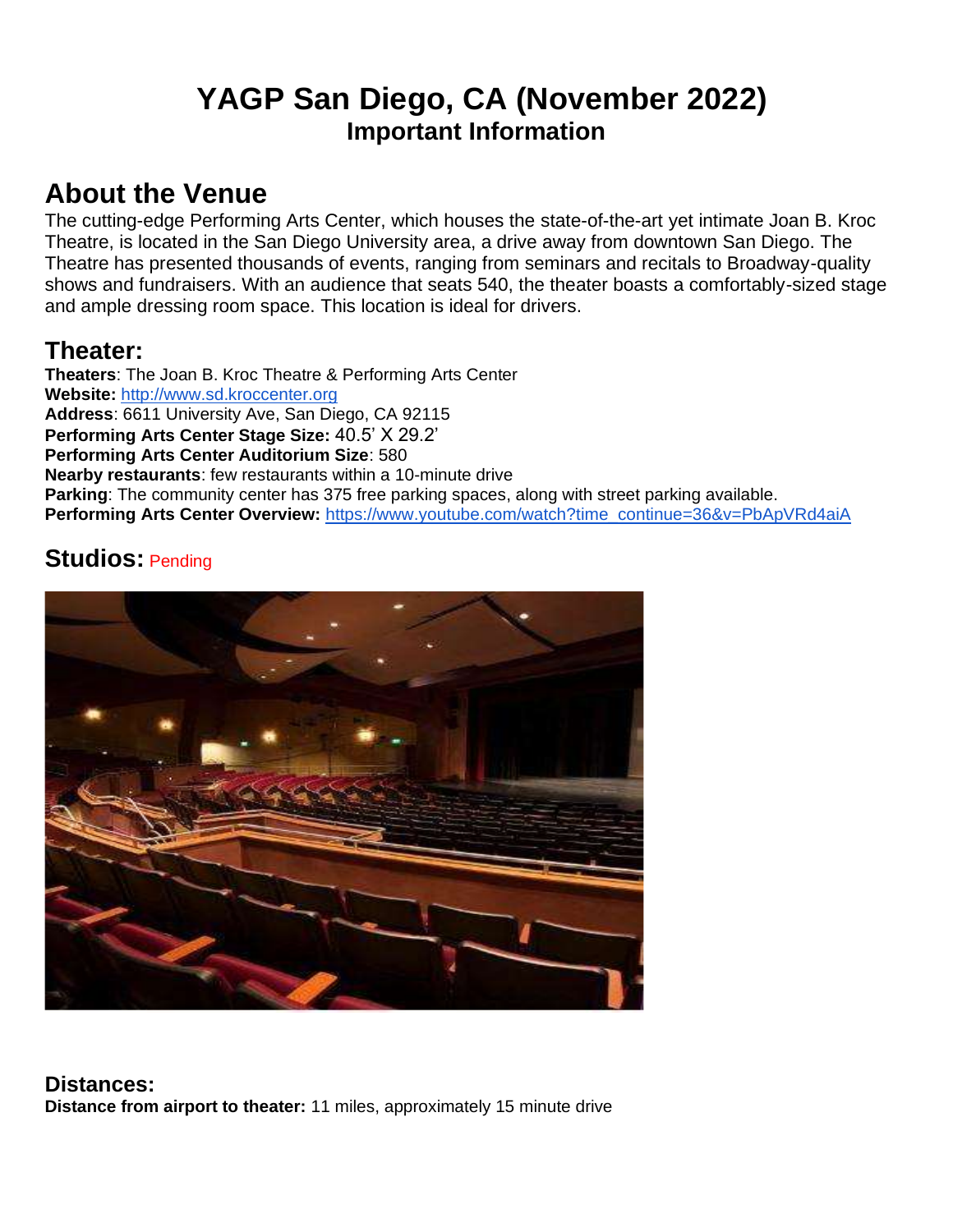## **YAGP San Diego, CA (November 2022) Important Information**

## **About the Venue**

The cutting-edge Performing Arts Center, which houses the state-of-the-art yet intimate Joan B. Kroc Theatre, is located in the San Diego University area, a drive away from downtown San Diego. The Theatre has presented thousands of events, ranging from seminars and recitals to Broadway-quality shows and fundraisers. With an audience that seats 540, the theater boasts a comfortably-sized stage and ample dressing room space. This location is ideal for drivers.

## **Theater:**

**Theaters**: The Joan B. Kroc Theatre & Performing Arts Center **Website:** [http://www.sd.kroccenter.org](http://www.sd.kroccenter.org/rentals.html) **Address**: 6611 University Ave, San Diego, CA 92115 **Performing Arts Center Stage Size:** 40.5' X 29.2' **Performing Arts Center Auditorium Size**: 580 **Nearby restaurants**: few restaurants within a 10-minute drive **Parking**: The community center has 375 free parking spaces, along with street parking available. **Performing Arts Center Overview: [https://www.youtube.com/watch?time\\_continue=36&v=PbApVRd4aiA](https://www.youtube.com/watch?time_continue=36&v=PbApVRd4aiA)** 

## **Studios:** Pending



**Distances: Distance from airport to theater:** 11 miles, approximately 15 minute drive